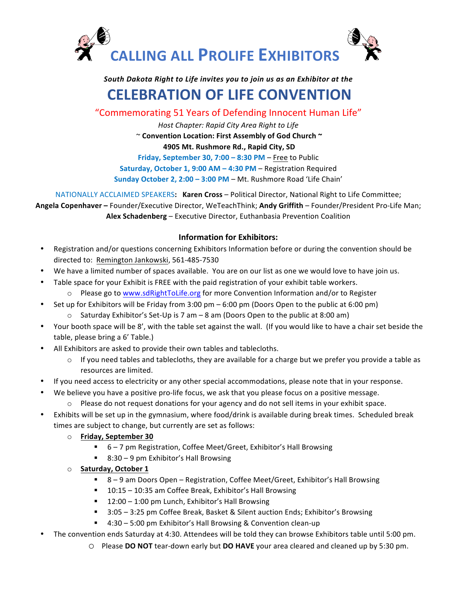

## *South Dakota Right to Life invites you to join us as an Exhibitor at the*

## **CELEBRATION OF LIFE CONVENTION**

"Commemorating 51 Years of Defending Innocent Human Life"

*Host Chapter: Rapid City Area Right to Life*

 $\sim$  Convention Location: First Assembly of God Church  $\sim$ 

**4905 Mt. Rushmore Rd., Rapid City, SD** 

**Friday, September 30, 7:00 – 8:30 PM – Free to Public Saturday, October 1, 9:00 AM – 4:30 PM – Registration Required** 

**Sunday October 2, 2:00 – 3:00 PM – Mt. Rushmore Road 'Life Chain'** 

NATIONALLY ACCLAIMED SPEAKERS: **Karen Cross** – Political Director, National Right to Life Committee;

Angela Copenhaver - Founder/Executive Director, WeTeachThink; Andy Griffith - Founder/President Pro-Life Man; Alex Schadenberg – Executive Director, Euthanbasia Prevention Coalition

## **Information for Exhibitors:**

- Registration and/or questions concerning Exhibitors Information before or during the convention should be directed to: Remington Jankowski, 561-485-7530
- We have a limited number of spaces available. You are on our list as one we would love to have join us.
- Table space for your Exhibit is FREE with the paid registration of your exhibit table workers.
	- $\circ$  Please go to www.sdRightToLife.org for more Convention Information and/or to Register
- Set up for Exhibitors will be Friday from  $3:00 \text{ pm} 6:00 \text{ pm}$  (Doors Open to the public at  $6:00 \text{ pm}$ )
	- $\circ$  Saturday Exhibitor's Set-Up is 7 am 8 am (Doors Open to the public at 8:00 am)
- Your booth space will be 8', with the table set against the wall. (If you would like to have a chair set beside the table, please bring a 6' Table.)
- All Exhibitors are asked to provide their own tables and tablecloths.
	- $\circ$  If you need tables and tablecloths, they are available for a charge but we prefer you provide a table as resources are limited.
- If you need access to electricity or any other special accommodations, please note that in your response.
- We believe you have a positive pro-life focus, we ask that you please focus on a positive message.
	- $\circ$  Please do not request donations for your agency and do not sell items in your exhibit space.
- Exhibits will be set up in the gymnasium, where food/drink is available during break times. Scheduled break times are subject to change, but currently are set as follows:
	- o **Friday, September 30**
		- 6-7 pm Registration, Coffee Meet/Greet, Exhibitor's Hall Browsing
		- 8:30 9 pm Exhibitor's Hall Browsing
	- o **Saturday, October 1**
		- 8-9 am Doors Open Registration, Coffee Meet/Greet, Exhibitor's Hall Browsing
		- 10:15 10:35 am Coffee Break, Exhibitor's Hall Browsing
		- 12:00 1:00 pm Lunch, Exhibitor's Hall Browsing
		- 3:05 3:25 pm Coffee Break, Basket & Silent auction Ends; Exhibitor's Browsing
		- 4:30 5:00 pm Exhibitor's Hall Browsing & Convention clean-up
- The convention ends Saturday at 4:30. Attendees will be told they can browse Exhibitors table until 5:00 pm.
	- O Please DO NOT tear-down early but DO HAVE your area cleared and cleaned up by 5:30 pm.